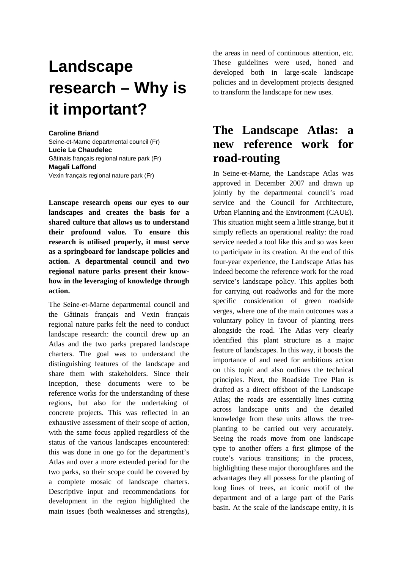# **Landscape research – Why is it important?**

#### **Caroline Briand**

Seine-et-Marne departmental council (Fr) **Lucie Le Chaudelec**  Gâtinais français regional nature park (Fr) **Magali Laffond**  Vexin français regional nature park (Fr)

**Lanscape research opens our eyes to our landscapes and creates the basis for a shared culture that allows us to understand their profound value. To ensure this research is utilised properly, it must serve as a springboard for landscape policies and action. A departmental council and two regional nature parks present their knowhow in the leveraging of knowledge through action.** 

The Seine-et-Marne departmental council and the Gâtinais français and Vexin français regional nature parks felt the need to conduct landscape research: the council drew up an Atlas and the two parks prepared landscape charters. The goal was to understand the distinguishing features of the landscape and share them with stakeholders. Since their inception, these documents were to be reference works for the understanding of these regions, but also for the undertaking of concrete projects. This was reflected in an exhaustive assessment of their scope of action, with the same focus applied regardless of the status of the various landscapes encountered: this was done in one go for the department's Atlas and over a more extended period for the two parks, so their scope could be covered by a complete mosaic of landscape charters. Descriptive input and recommendations for development in the region highlighted the main issues (both weaknesses and strengths),

the areas in need of continuous attention, etc. These guidelines were used, honed and developed both in large-scale landscape policies and in development projects designed to transform the landscape for new uses.

### **The Landscape Atlas: a new reference work for road-routing**

In Seine-et-Marne, the Landscape Atlas was approved in December 2007 and drawn up jointly by the departmental council's road service and the Council for Architecture, Urban Planning and the Environment (CAUE). This situation might seem a little strange, but it simply reflects an operational reality: the road service needed a tool like this and so was keen to participate in its creation. At the end of this four-year experience, the Landscape Atlas has indeed become the reference work for the road service's landscape policy. This applies both for carrying out roadworks and for the more specific consideration of green roadside verges, where one of the main outcomes was a voluntary policy in favour of planting trees alongside the road. The Atlas very clearly identified this plant structure as a major feature of landscapes. In this way, it boosts the importance of and need for ambitious action on this topic and also outlines the technical principles. Next, the Roadside Tree Plan is drafted as a direct offshoot of the Landscape Atlas; the roads are essentially lines cutting across landscape units and the detailed knowledge from these units allows the treeplanting to be carried out very accurately. Seeing the roads move from one landscape type to another offers a first glimpse of the route's various transitions; in the process, highlighting these major thoroughfares and the advantages they all possess for the planting of long lines of trees, an iconic motif of the department and of a large part of the Paris basin. At the scale of the landscape entity, it is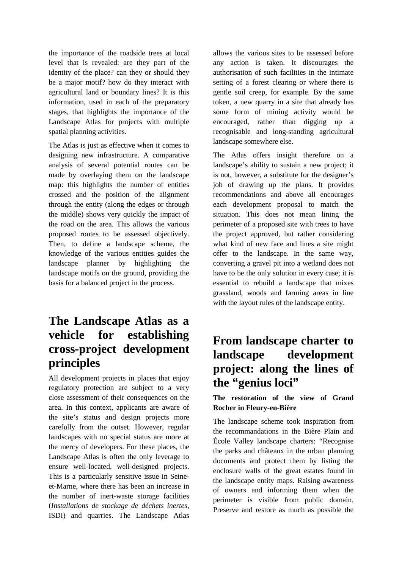the importance of the roadside trees at local level that is revealed: are they part of the identity of the place? can they or should they be a major motif? how do they interact with agricultural land or boundary lines? It is this information, used in each of the preparatory stages, that highlights the importance of the Landscape Atlas for projects with multiple spatial planning activities.

The Atlas is just as effective when it comes to designing new infrastructure. A comparative analysis of several potential routes can be made by overlaying them on the landscape map: this highlights the number of entities crossed and the position of the alignment through the entity (along the edges or through the middle) shows very quickly the impact of the road on the area. This allows the various proposed routes to be assessed objectively. Then, to define a landscape scheme, the knowledge of the various entities guides the landscape planner by highlighting the landscape motifs on the ground, providing the basis for a balanced project in the process.

## **The Landscape Atlas as a vehicle for establishing cross-project development principles**

All development projects in places that enjoy regulatory protection are subject to a very close assessment of their consequences on the area. In this context, applicants are aware of the site's status and design projects more carefully from the outset. However, regular landscapes with no special status are more at the mercy of developers. For these places, the Landscape Atlas is often the only leverage to ensure well-located, well-designed projects. This is a particularly sensitive issue in Seineet-Marne, where there has been an increase in the number of inert-waste storage facilities (*Installations de stockage de déchets inertes*, ISDI) and quarries. The Landscape Atlas

allows the various sites to be assessed before any action is taken. It discourages the authorisation of such facilities in the intimate setting of a forest clearing or where there is gentle soil creep, for example. By the same token, a new quarry in a site that already has some form of mining activity would be encouraged, rather than digging up a recognisable and long-standing agricultural landscape somewhere else.

The Atlas offers insight therefore on a landscape's ability to sustain a new project; it is not, however, a substitute for the designer's job of drawing up the plans. It provides recommendations and above all encourages each development proposal to match the situation. This does not mean lining the perimeter of a proposed site with trees to have the project approved, but rather considering what kind of new face and lines a site might offer to the landscape. In the same way, converting a gravel pit into a wetland does not have to be the only solution in every case; it is essential to rebuild a landscape that mixes grassland, woods and farming areas in line with the layout rules of the landscape entity.

### **From landscape charter to landscape development project: along the lines of the "genius loci"**

### **The restoration of the view of Grand Rocher in Fleury-en-Bière**

The landscape scheme took inspiration from the recommandations in the Bière Plain and École Valley landscape charters: "Recognise the parks and châteaux in the urban planning documents and protect them by listing the enclosure walls of the great estates found in the landscape entity maps. Raising awareness of owners and informing them when the perimeter is visible from public domain. Preserve and restore as much as possible the